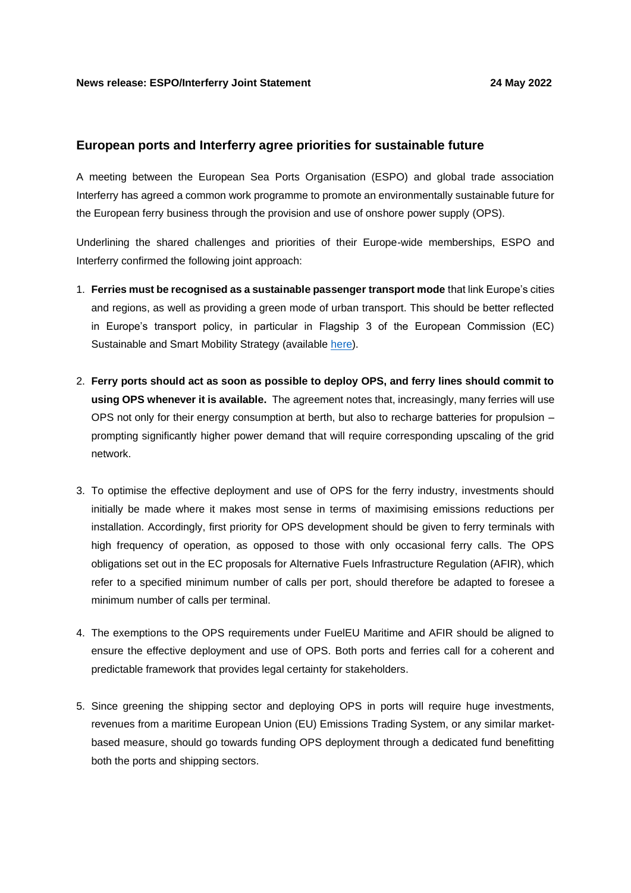## **European ports and Interferry agree priorities for sustainable future**

A meeting between the European Sea Ports Organisation (ESPO) and global trade association Interferry has agreed a common work programme to promote an environmentally sustainable future for the European ferry business through the provision and use of onshore power supply (OPS).

Underlining the shared challenges and priorities of their Europe-wide memberships, ESPO and Interferry confirmed the following joint approach:

- 1. **Ferries must be recognised as a sustainable passenger transport mode** that link Europe's cities and regions, as well as providing a green mode of urban transport. This should be better reflected in Europe's transport policy, in particular in Flagship 3 of the European Commission (EC) Sustainable and Smart Mobility Strategy (available [here\)](https://eur-lex.europa.eu/legal-content/EN/TXT/?uri=CELEX%3A52020DC0789).
- 2. **Ferry ports should act as soon as possible to deploy OPS, and ferry lines should commit to using OPS whenever it is available.** The agreement notes that, increasingly, many ferries will use OPS not only for their energy consumption at berth, but also to recharge batteries for propulsion – prompting significantly higher power demand that will require corresponding upscaling of the grid network.
- 3. To optimise the effective deployment and use of OPS for the ferry industry, investments should initially be made where it makes most sense in terms of maximising emissions reductions per installation. Accordingly, first priority for OPS development should be given to ferry terminals with high frequency of operation, as opposed to those with only occasional ferry calls. The OPS obligations set out in the EC proposals for Alternative Fuels Infrastructure Regulation (AFIR), which refer to a specified minimum number of calls per port, should therefore be adapted to foresee a minimum number of calls per terminal.
- 4. The exemptions to the OPS requirements under FuelEU Maritime and AFIR should be aligned to ensure the effective deployment and use of OPS. Both ports and ferries call for a coherent and predictable framework that provides legal certainty for stakeholders.
- 5. Since greening the shipping sector and deploying OPS in ports will require huge investments, revenues from a maritime European Union (EU) Emissions Trading System, or any similar marketbased measure, should go towards funding OPS deployment through a dedicated fund benefitting both the ports and shipping sectors.